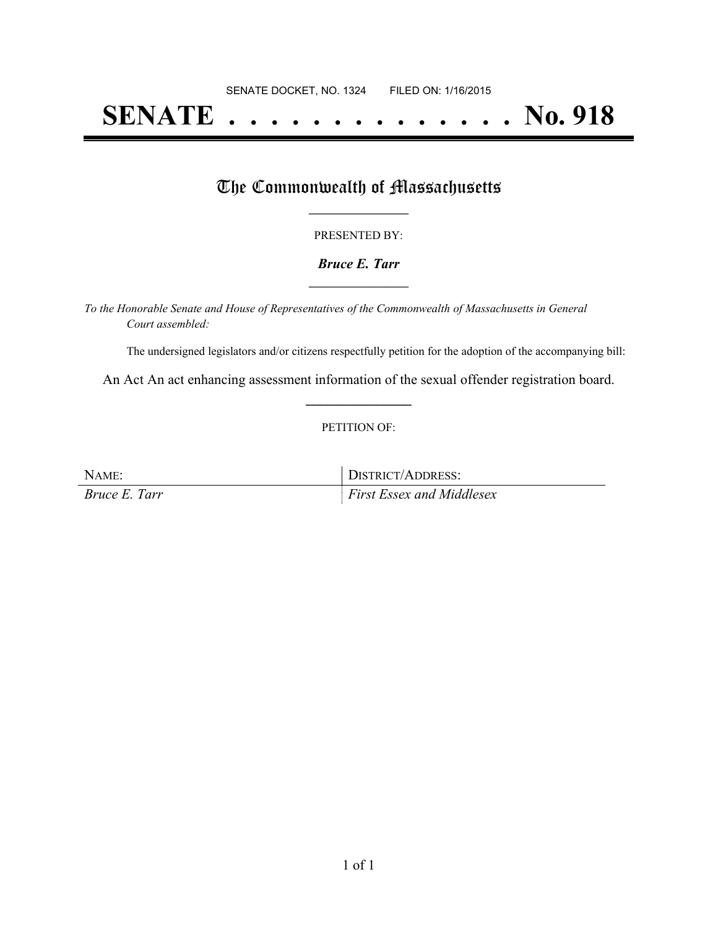# **SENATE . . . . . . . . . . . . . . No. 918**

### The Commonwealth of Massachusetts

#### PRESENTED BY:

#### *Bruce E. Tarr* **\_\_\_\_\_\_\_\_\_\_\_\_\_\_\_\_\_**

*To the Honorable Senate and House of Representatives of the Commonwealth of Massachusetts in General Court assembled:*

The undersigned legislators and/or citizens respectfully petition for the adoption of the accompanying bill:

An Act An act enhancing assessment information of the sexual offender registration board. **\_\_\_\_\_\_\_\_\_\_\_\_\_\_\_**

#### PETITION OF:

NAME: DISTRICT/ADDRESS: *Bruce E. Tarr First Essex and Middlesex*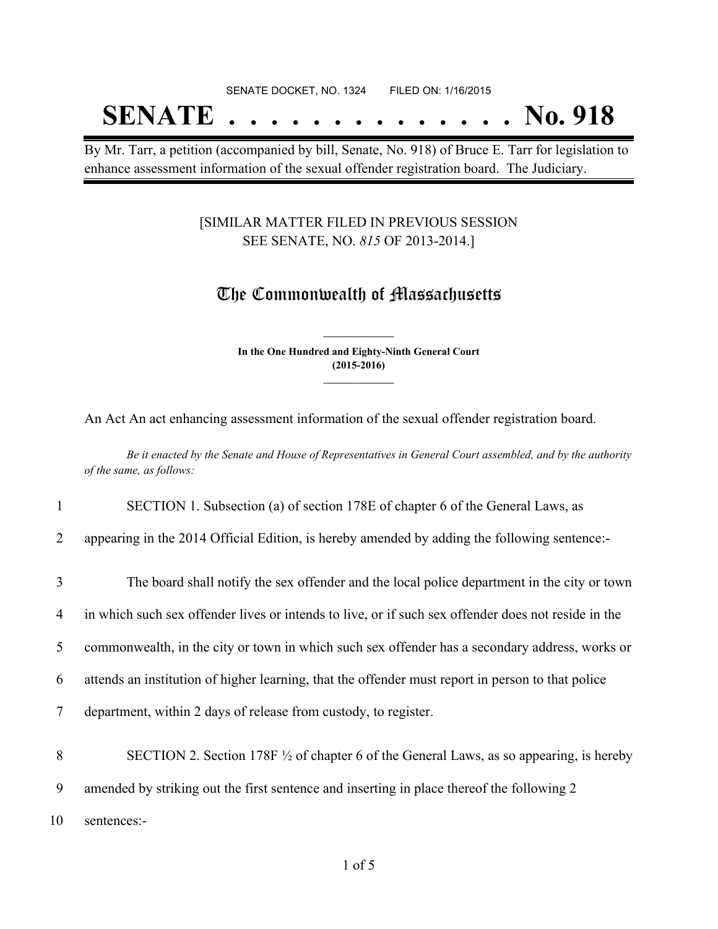# SENATE DOCKET, NO. 1324 FILED ON: 1/16/2015 **SENATE . . . . . . . . . . . . . . No. 918**

By Mr. Tarr, a petition (accompanied by bill, Senate, No. 918) of Bruce E. Tarr for legislation to enhance assessment information of the sexual offender registration board. The Judiciary.

#### [SIMILAR MATTER FILED IN PREVIOUS SESSION SEE SENATE, NO. *815* OF 2013-2014.]

## The Commonwealth of Massachusetts

**In the One Hundred and Eighty-Ninth General Court (2015-2016) \_\_\_\_\_\_\_\_\_\_\_\_\_\_\_**

**\_\_\_\_\_\_\_\_\_\_\_\_\_\_\_**

An Act An act enhancing assessment information of the sexual offender registration board.

Be it enacted by the Senate and House of Representatives in General Court assembled, and by the authority *of the same, as follows:*

1 SECTION 1. Subsection (a) of section 178E of chapter 6 of the General Laws, as

2 appearing in the 2014 Official Edition, is hereby amended by adding the following sentence:-

 The board shall notify the sex offender and the local police department in the city or town in which such sex offender lives or intends to live, or if such sex offender does not reside in the commonwealth, in the city or town in which such sex offender has a secondary address, works or attends an institution of higher learning, that the offender must report in person to that police department, within 2 days of release from custody, to register. SECTION 2. Section 178F ½ of chapter 6 of the General Laws, as so appearing, is hereby amended by striking out the first sentence and inserting in place thereof the following 2 sentences:-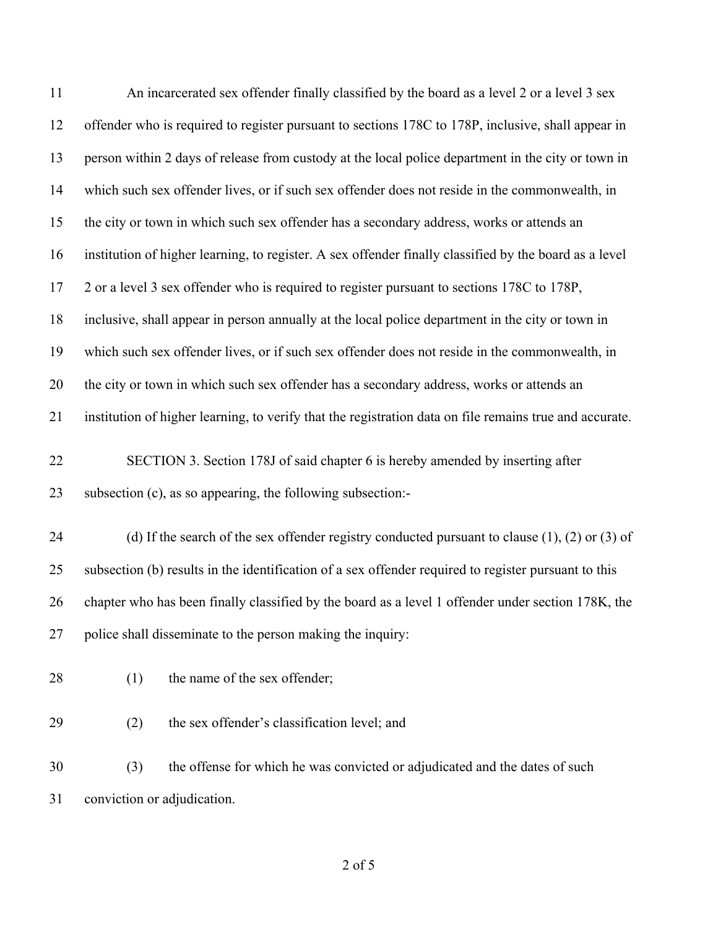| 11 | An incarcerated sex offender finally classified by the board as a level 2 or a level 3 sex              |
|----|---------------------------------------------------------------------------------------------------------|
| 12 | offender who is required to register pursuant to sections 178C to 178P, inclusive, shall appear in      |
| 13 | person within 2 days of release from custody at the local police department in the city or town in      |
| 14 | which such sex offender lives, or if such sex offender does not reside in the commonwealth, in          |
| 15 | the city or town in which such sex offender has a secondary address, works or attends an                |
| 16 | institution of higher learning, to register. A sex offender finally classified by the board as a level  |
| 17 | 2 or a level 3 sex offender who is required to register pursuant to sections 178C to 178P,              |
| 18 | inclusive, shall appear in person annually at the local police department in the city or town in        |
| 19 | which such sex offender lives, or if such sex offender does not reside in the commonwealth, in          |
| 20 | the city or town in which such sex offender has a secondary address, works or attends an                |
| 21 | institution of higher learning, to verify that the registration data on file remains true and accurate. |
| 22 | SECTION 3. Section 178J of said chapter 6 is hereby amended by inserting after                          |
| 23 | subsection (c), as so appearing, the following subsection:-                                             |
| 24 | (d) If the search of the sex offender registry conducted pursuant to clause $(1)$ , $(2)$ or $(3)$ of   |
| 25 | subsection (b) results in the identification of a sex offender required to register pursuant to this    |
| 26 | chapter who has been finally classified by the board as a level 1 offender under section 178K, the      |
| 27 | police shall disseminate to the person making the inquiry:                                              |
| 28 | the name of the sex offender;<br>(1)                                                                    |
| 29 | the sex offender's classification level; and<br>(2)                                                     |
| 30 | the offense for which he was convicted or adjudicated and the dates of such<br>(3)                      |
| 31 | conviction or adjudication.                                                                             |

of 5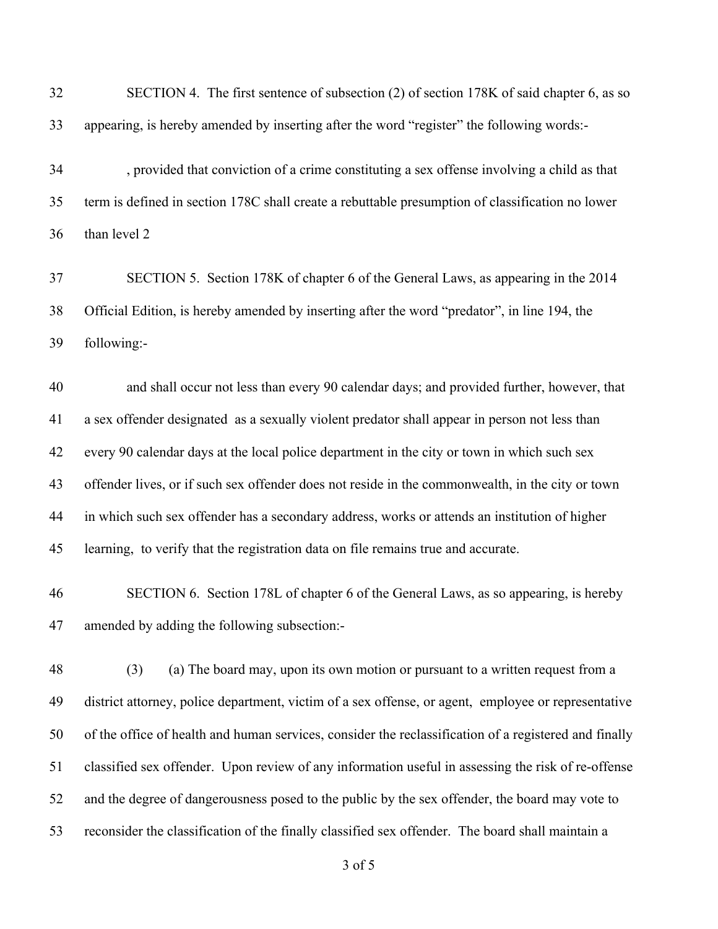| 32 | SECTION 4. The first sentence of subsection (2) of section 178K of said chapter 6, as so              |
|----|-------------------------------------------------------------------------------------------------------|
| 33 | appearing, is hereby amended by inserting after the word "register" the following words:-             |
| 34 | , provided that conviction of a crime constituting a sex offense involving a child as that            |
| 35 | term is defined in section 178C shall create a rebuttable presumption of classification no lower      |
| 36 | than level 2                                                                                          |
| 37 | SECTION 5. Section 178K of chapter 6 of the General Laws, as appearing in the 2014                    |
| 38 | Official Edition, is hereby amended by inserting after the word "predator", in line 194, the          |
| 39 | following:-                                                                                           |
| 40 | and shall occur not less than every 90 calendar days; and provided further, however, that             |
| 41 | a sex offender designated as a sexually violent predator shall appear in person not less than         |
| 42 | every 90 calendar days at the local police department in the city or town in which such sex           |
| 43 | offender lives, or if such sex offender does not reside in the commonwealth, in the city or town      |
| 44 | in which such sex offender has a secondary address, works or attends an institution of higher         |
| 45 | learning, to verify that the registration data on file remains true and accurate.                     |
| 46 | SECTION 6. Section 178L of chapter 6 of the General Laws, as so appearing, is hereby                  |
| 47 | amended by adding the following subsection:-                                                          |
| 48 | (a) The board may, upon its own motion or pursuant to a written request from a<br>(3)                 |
| 49 | district attorney, police department, victim of a sex offense, or agent, employee or representative   |
| 50 | of the office of health and human services, consider the reclassification of a registered and finally |
| 51 | classified sex offender. Upon review of any information useful in assessing the risk of re-offense    |
| 52 | and the degree of dangerousness posed to the public by the sex offender, the board may vote to        |
| 53 | reconsider the classification of the finally classified sex offender. The board shall maintain a      |
|    | 3 of 5                                                                                                |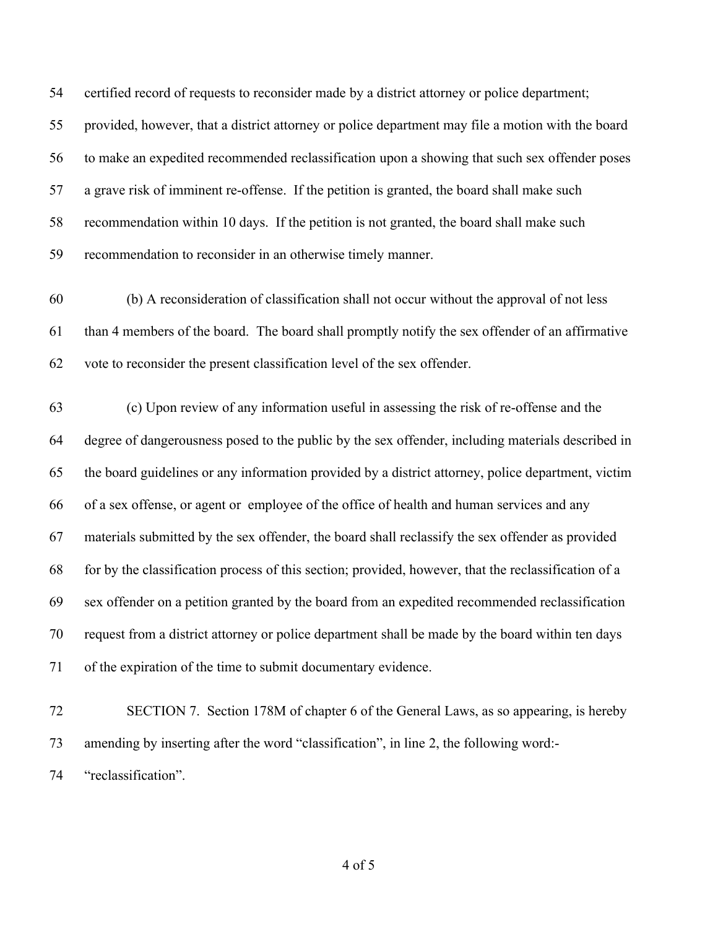certified record of requests to reconsider made by a district attorney or police department; provided, however, that a district attorney or police department may file a motion with the board to make an expedited recommended reclassification upon a showing that such sex offender poses a grave risk of imminent re-offense. If the petition is granted, the board shall make such recommendation within 10 days. If the petition is not granted, the board shall make such recommendation to reconsider in an otherwise timely manner.

 (b) A reconsideration of classification shall not occur without the approval of not less than 4 members of the board. The board shall promptly notify the sex offender of an affirmative vote to reconsider the present classification level of the sex offender.

 (c) Upon review of any information useful in assessing the risk of re-offense and the degree of dangerousness posed to the public by the sex offender, including materials described in the board guidelines or any information provided by a district attorney, police department, victim of a sex offense, or agent or employee of the office of health and human services and any materials submitted by the sex offender, the board shall reclassify the sex offender as provided for by the classification process of this section; provided, however, that the reclassification of a sex offender on a petition granted by the board from an expedited recommended reclassification request from a district attorney or police department shall be made by the board within ten days of the expiration of the time to submit documentary evidence.

 SECTION 7. Section 178M of chapter 6 of the General Laws, as so appearing, is hereby amending by inserting after the word "classification", in line 2, the following word:- "reclassification".